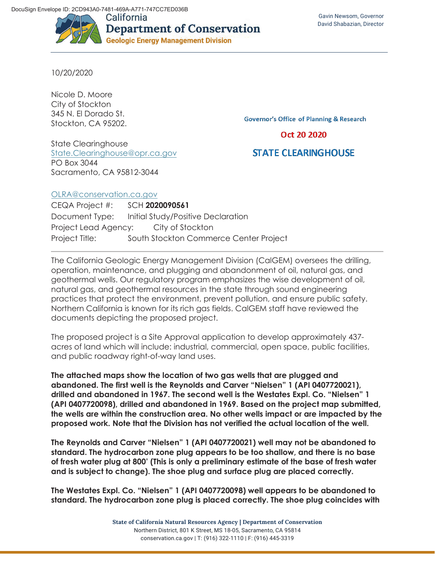

10/20/2020

Nicole D. Moore City of Stockton 345 N. El Dorado St. Stockton, CA 95202.

State Clearinghouse State.Clearinghouse@opr.ca.gov PO Box 3044 Sacramento, CA 95812-3044

**Governor's Office of Planning & Research** 

Oct 20 2020

## **STATE CLEARINGHOUSE**

## OLRA@conservation.ca.gov

CEQA Project #: SCH **2020090561** Document Type: Initial Study/Positive Declaration Project Lead Agency: City of Stockton Project Title: South Stockton Commerce Center Project

The California Geologic Energy Management Division (CalGEM) oversees the drilling, operation, maintenance, and plugging and abandonment of oil, natural gas, and geothermal wells. Our regulatory program emphasizes the wise development of oil, natural gas, and geothermal resources in the state through sound engineering practices that protect the environment, prevent pollution, and ensure public safety. Northern California is known for its rich gas fields. CalGEM staff have reviewed the documents depicting the proposed project.

The proposed project is a Site Approval application to develop approximately 437 acres of land which will include: industrial, commercial, open space, public facilities, and public roadway right-of-way land uses.

**The attached maps show the location of two gas wells that are plugged and abandoned. The first well is the Reynolds and Carver "Nielsen" 1 (API 0407720021), drilled and abandoned in 1967. The second well is the Westates Expl. Co. "Nielsen" 1 (API 0407720098), drilled and abandoned in 1969. Based on the project map submitted, the wells are within the construction area. No other wells impact or are impacted by the proposed work. Note that the Division has not verified the actual location of the well.** 

**The Reynolds and Carver "Nielsen" 1 (API 0407720021) well may not be abandoned to standard. The hydrocarbon zone plug appears to be too shallow, and there is no base of fresh water plug at 800' (This is only a preliminary estimate of the base of fresh water and is subject to change). The shoe plug and surface plug are placed correctly.** 

**The Westates Expl. Co. "Nielsen" 1 (API 0407720098) well appears to be abandoned to standard. The hydrocarbon zone plug is placed correctly. The shoe plug coincides with** 

> **State of California Natural Resources Agency | Department of Conservation**  Northern District, 801 K Street, MS 18-05, Sacramento, CA 95814 conservation.ca.gov | T: (916) 322-1110 | F: (916) 445-3319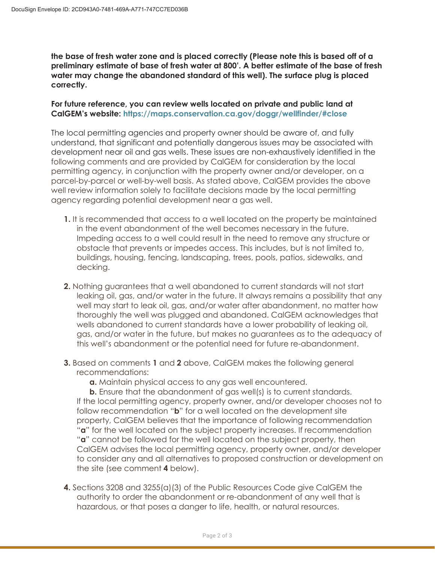**the base of fresh water zone and is placed correctly (Please note this is based off of a preliminary estimate of base of fresh water at 800'. A better estimate of the base of fresh water may change the abandoned standard of this well). The surface plug is placed correctly.** 

## **For future reference, you can review wells located on private and public land at CalGEM's website: https://maps.conservation.ca.gov/doggr/wellfinder/#close**

The local permitting agencies and property owner should be aware of, and fully understand, that significant and potentially dangerous issues may be associated with development near oil and gas wells. These issues are non-exhaustively identified in the following comments and are provided by CalGEM for consideration by the local permitting agency, in conjunction with the property owner and/or developer, on a parcel-by-parcel or well-by-well basis. As stated above, CalGEM provides the above well review information solely to facilitate decisions made by the local permitting agency regarding potential development near a gas well.

- **1.** It is recommended that access to a well located on the property be maintained in the event abandonment of the well becomes necessary in the future. Impeding access to a well could result in the need to remove any structure or obstacle that prevents or impedes access. This includes, but is not limited to, buildings, housing, fencing, landscaping, trees, pools, patios, sidewalks, and decking.
- **2.** Nothing guarantees that a well abandoned to current standards will not start leaking oil, gas, and/or water in the future. It always remains a possibility that any well may start to leak oil, gas, and/or water after abandonment, no matter how thoroughly the well was plugged and abandoned. CalGEM acknowledges that wells abandoned to current standards have a lower probability of leaking oil, gas, and/or water in the future, but makes no guarantees as to the adequacy of this well's abandonment or the potential need for future re-abandonment.
- **3.** Based on comments **1** and **2** above, CalGEM makes the following general recommendations:
	- **a.** Maintain physical access to any gas well encountered.

**b.** Ensure that the abandonment of gas well(s) is to current standards. If the local permitting agency, property owner, and/or developer chooses not to follow recommendation "**b**" for a well located on the development site property, CalGEM believes that the importance of following recommendation "**a**" for the well located on the subject property increases. If recommendation "**a**" cannot be followed for the well located on the subject property, then CalGEM advises the local permitting agency, property owner, and/or developer to consider any and all alternatives to proposed construction or development on the site (see comment **4** below).

**4.** Sections 3208 and 3255(a)(3) of the Public Resources Code give CalGEM the authority to order the abandonment or re-abandonment of any well that is hazardous, or that poses a danger to life, health, or natural resources.